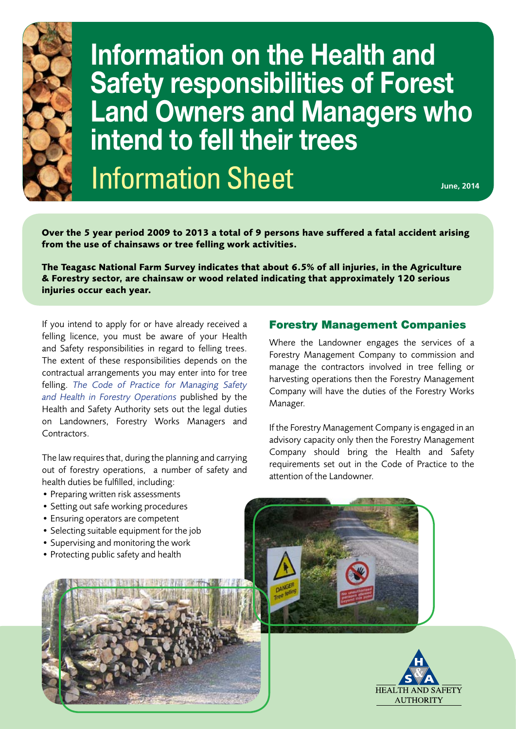

**Information on the Health and Safety responsibilities of Forest Land Owners and Managers who intend to fell their trees**

Information Sheet **June, 2014** 

**Over the 5 year period 2009 to 2013 a total of 9 persons have suffered a fatal accident arising from the use of chainsaws or tree felling work activities.** 

**The Teagasc National Farm Survey indicates that about 6.5% of all injuries, in the Agriculture & Forestry sector, are chainsaw or wood related indicating that approximately 120 serious injuries occur each year.** 

If you intend to apply for or have already received a felling licence, you must be aware of your Health and Safety responsibilities in regard to felling trees. The extent of these responsibilities depends on the contractual arrangements you may enter into for tree felling. *[The Code of Practice for Managing Safety](http://www.hsa.ie/eng/Publications_and_Forms/Publications/Agriculture_and_Forestry/Code_of_Practice_for_Managing_Safety_and_Health_in_Forestry_Operations.html) [and Health in Forestry Operations](http://www.hsa.ie/eng/Publications_and_Forms/Publications/Agriculture_and_Forestry/Code_of_Practice_for_Managing_Safety_and_Health_in_Forestry_Operations.html)* published by the Health and Safety Authority sets out the legal duties on Landowners, Forestry Works Managers and Contractors.

The law requires that, during the planning and carrying out of forestry operations, a number of safety and health duties be fulfilled, including:

- Preparing written risk assessments
- Setting out safe working procedures
- Ensuring operators are competent
- Selecting suitable equipment for the job
- Supervising and monitoring the work
- Protecting public safety and health



## Forestry Management Companies

Where the Landowner engages the services of a Forestry Management Company to commission and manage the contractors involved in tree felling or harvesting operations then the Forestry Management Company will have the duties of the Forestry Works Manager.

If the Forestry Management Company is engaged in an advisory capacity only then the Forestry Management Company should bring the Health and Safety requirements set out in the Code of Practice to the attention of the Landowner.